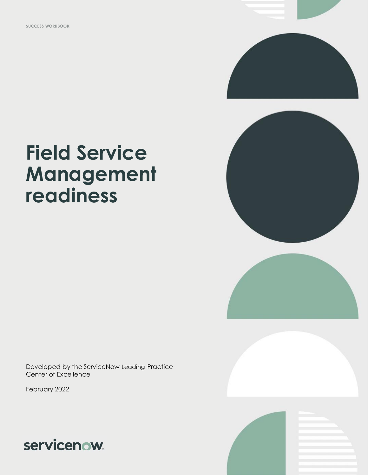







# **readiness**

**Field Service** 

**Management** 

Developed by the ServiceNow Leading Practice Center of Excellence

February 2022

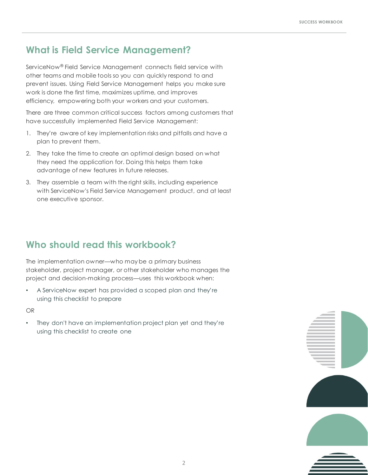# **What is Field Service Management?**

ServiceNow® Field Service Management connects field service with other teams and mobile tools so you can quickly respond to and prevent issues. Using Field Service Management helps you make sure work is done the first time, maximizes uptime, and improves efficiency, empowering both your workers and your customers.

There are three common critical success factors among customers that have successfully implemented Field Service Management:

- 1. They're aware of key implementation risks and pitfalls and have a plan to prevent them.
- 2. They take the time to create an optimal design based on what they need the application for. Doing this helps them take advantage of new features in future releases.
- 3. They assemble a team with the right skills, including experience with ServiceNow's Field Service Management product, and at least one executive sponsor.

# **Who should read this workbook?**

The implementation owner—who may be a primary business stakeholder, project manager, or other stakeholder who manages the project and decision-making process—uses this workbook when:

• A ServiceNow expert has provided a scoped plan and they're using this checklist to prepare

OR

They don't have an implementation project plan yet and they're using this checklist to create one

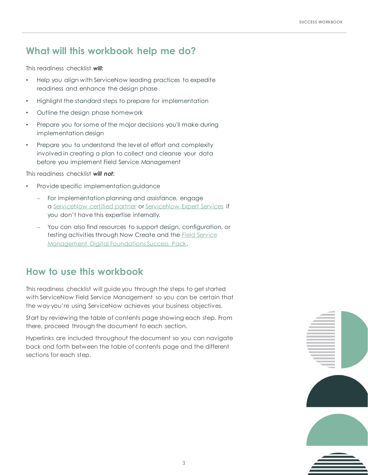# **What will this workbook help me do?**

This readiness checklist *will***:**

- Help you align with ServiceNow leading practices to expedite readiness and enhance the design phase
- Highlight the standard steps to prepare for implementation
- Outline the design phase homework
- Prepare you for some of the major decisions you'll make during implementation design
- Prepare you to understand the level of effort and complexity involved in creating a plan to collect and cleanse your data before you implement Field Service Management

This readiness checklist *will not***:**

- Provide specific implementation guidance
	- ⎼ For implementation planning and assistance, engage a [ServiceNow certified partner](https://www.servicenow.com/success/playbook/partner-management-guide.html) or [ServiceNow Expert Services](https://www.servicenow.com/services/expert-services.html) if you don't have this expertise internally.
	- You can also find resources to support design, configuration, or [testing activities through Now Create and the Field Service](https://nowlearning.service-now.com/nowcreate?id=sp_overview&sp_id=226db12ddb701c9077c0ce46b99619da)  Management Digital Foundations Success Pack.

# **How to use this workbook**

This readiness checklist will guide you through the steps to get started with ServiceNow Field Service Management so you can be certain that the way you're using ServiceNow achieves your business objectives.

Start by reviewing the table of contents page showing each step. From there, proceed through the document to each section.

Hyperlinks are included throughout the document so you can navigate back and forth between the table of contents page and the different sections for each step.

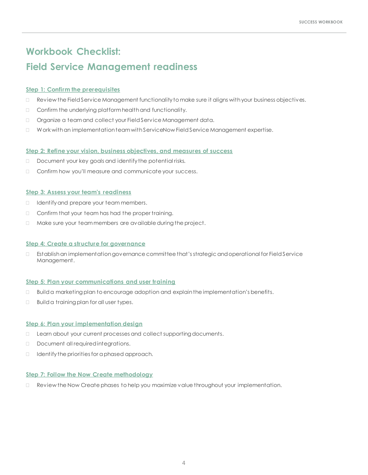# **Workbook Checklist: Field Service Management readiness**

# **[Step 1: Confirm the prerequisites](#page-4-0)**

- $\Box$  Review the Field Service Management functionality to make sure it aligns with your business objectives.
- $\Box$  Confirm the underlying platform health and functionality.
- □ Organize a team and collect your Field Service Management data.
- Work with an implementation team with ServiceNow Field Service Management expertise.

# **[Step 2: Refine your vision, business objectives, and measures of success](#page-6-0)**

- Document your key goals and identify the potential risks.
- Confirm how you'll measure and communicate your success.

# **[Step 3: Assess your team's readiness](#page-7-0)**

- I Identify and prepare your team members.
- □ Confirm that your team has had the proper training.
- $\Box$  Make sure your team members are available during the project.

### **[Step 4: Create a structure for governance](#page-9-0)**

 Establish an implementation governance committee that's strategic and operational for Field Service Management.

### **[Step 5: Plan your communications and user training](#page-10-0)**

- $\Box$  Build a marketing plan to encourage adoption and explain the implementation's benefits.
- □ Build a training plan for all user types.

### **[Step 6: Plan your implementation design](#page-11-0)**

- □ Learn about your current processes and collect supporting documents.
- Document all required integrations.
- $\Box$  Identify the priorities for a phased approach.

### **[Step 7: Follow the Now Create methodology](#page-12-0)**

Review the Now Create phases to help you maximize value throughout your implementation.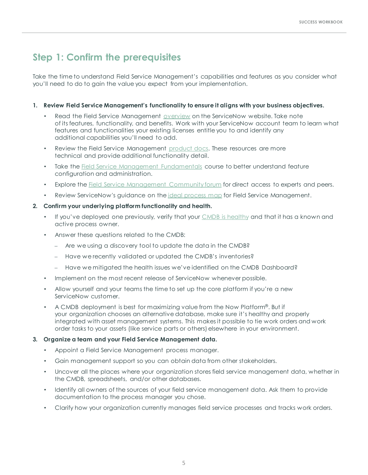# **Step 1: Confirm the prerequisites**

Take the time to understand Field Service Management's capabilities and features as you consider what you'll need to do to gain the value you expect from your implementation.

# **1. Review Field Service Management's functionality to ensure it aligns with your business objectives.**

- Read the Field Service Management [overview](https://www.servicenow.com/products/field-service-management.html) on the ServiceNow website. Take note of its features, functionality, and benefits. Work with your ServiceNow account team to learn what features and functionalities your existing licenses entitle you to and identify any additional capabilities you'll need to add.
- Review the Field Service Management [product docs.](https://docs.servicenow.com/csh?topicname=c_FieldServiceManagement.html&version=latest) These resources are more technical and provide additional functionality detail.
- Take the **[Field Service Management Fundamentals](https://nowlearning.service-now.com/lxp?id=overview&sys_id=0ed4b4b1dbebe450bc99e05e13961958&type=course)** course to better understand feature configuration and administration.
- Explore the **[Field Service Management Community forum](https://community.servicenow.com/community?id=community_forum&sys_id=18c77837db4dd450190dfb24399619d7)** for direct access to experts and peers.
- Review ServiceNow's guidance on the [ideal process map](https://nowlearning.service-now.com/nowcreate?id=nc_asset&asset_id=d326afb5db72a09073f4bc04b99619d6) for Field Service Management.

# **2. Confirm your underlying platform functionality and health.**

- If you've deployed one previously, verify that your [CMDB is healthy](https://www.servicenow.com/content/dam/servicenow-assets/public/en-us/doc-type/success/quick-answer/cmdb-health.pdf) and that it has a known and active process owner.
- Answer these questions related to the CMDB:
	- Are we using a discovery tool to update the data in the CMDB?
	- ⎼ Have we recently validated or updated the CMDB's inventories?
	- ⎼ Have we mitigated the health issues we've identified on the CMDB Dashboard?
- Implement on the most recent release of ServiceNow whenever possible.
- Allow yourself and your teams the time to set up the core platform if you're a new ServiceNow customer.
- A CMDB deployment is best for maximizing value from the Now Platform<sup>®</sup>. But if your organization chooses an alternative database, make sure it's healthy and properly integrated with asset management systems. This makes it possible to tie work orders and work order tasks to your assets (like service parts or others) elsewhere in your environment.

### **3. Organize a team and your Field Service Management data.**

- Appoint a Field Service Management process manager.
- Gain management support so you can obtain data from other stakeholders.
- Uncover all the places where your organization stores field service management data, whether in the CMDB, spreadsheets, and/or other databases.
- Identify all owners of the sources of your field service management data. Ask them to provide documentation to the process manager you chose.
- <span id="page-4-0"></span>• Clarify how your organization currently manages field service processes and tracks work orders.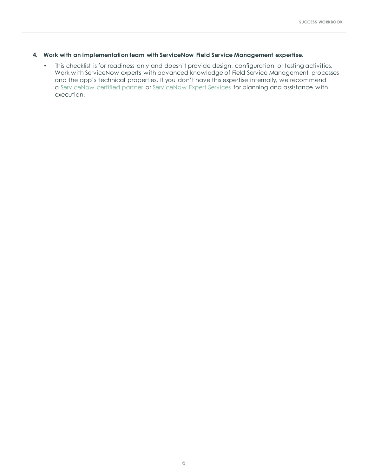### **4. Work with an implementation team with ServiceNow Field Service Management expertise.**

• This checklist is for readiness only and doesn't provide design, configuration, or testing activities. Work with ServiceNow experts with advanced knowledge of Field Service Management processes and the app's technical properties. If you don't have this expertise internally, we recommend a [ServiceNow certified partner](https://www.servicenow.com/success/playbook/partner-management-guide.html) or [ServiceNow Expert](https://www.servicenow.com/services/expert-services.html) Services for planning and assistance with execution.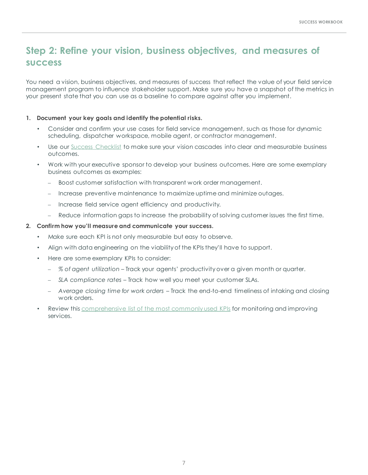# **Step 2: Refine your vision, business objectives, and measures of success**

You need a vision, business objectives, and measures of success that reflect the value of your field service management program to influence stakeholder support. Make sure you have a snapshot of the metrics in your present state that you can use as a baseline to compare against after you implement.

### **1. Document your key goals and identify the potential risks.**

- Consider and confirm your use cases for field service management, such as those for dynamic scheduling, dispatcher workspace, mobile agent, or contractor management.
- Use our [Success Checklist](https://www.servicenow.com/content/dam/servicenow-assets/public/en-us/doc-type/success/checklist/transformation-vision-outcomes.pptx) to make sure your vision cascades into clear and measurable business outcomes.
- Work with your executive sponsor to develop your business outcomes. Here are some exemplary business outcomes as examples:
	- Boost customer satisfaction with transparent work order management.
	- Increase preventive maintenance to maximize uptime and minimize outages.
	- ⎼ Increase field service agent efficiency and productivity.
	- Reduce information gaps to increase the probability of solving customer issues the first time.

### **2. Confirm how you'll measure and communicate your success.**

- Make sure each KPI is not only measurable but easy to observe.
- Align with data engineering on the viability of the KPIs they'll have to support.
- Here are some exemplary KPIs to consider:
	- ⎼ *% of agent utilization –* Track your agents' productivity over a given month or quarter.
	- ⎼ *SLA compliance rates*  Track how well you meet your customer SLAs.
	- ⎼ *Average closing time for work orders –* Track the end-to-end timeliness of intaking and closing work orders.
- <span id="page-6-0"></span>Review this [comprehensive list of the most commonly used KPIs](https://nowlearning.service-now.com/nowcreate?id=nc_asset&asset_id=0ed537f1dbb2a09073f4bc04b996194c) for monitoring and improving services.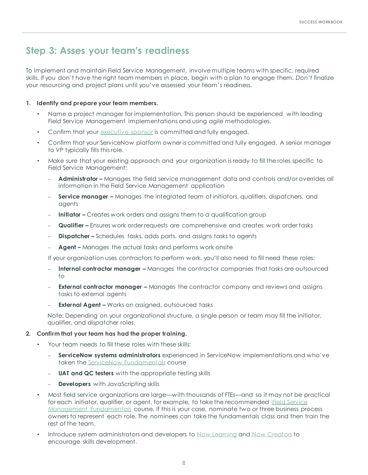# **Step 3: Asses your team's readiness**

To implement and maintain Field Service Management, involve multiple teams with specific, required skills. If you don't have the right team members in place, begin with a plan to engage them. *Don't* finalize your resourcing and project plans until you've assessed your team's readiness.

# **1. Identify and prepare your team members.**

- Name a project manager for implementation. This person should be experienced with leading Field Service Management implementations and using agile methodologies.
- Confirm that your [executive sponsor](https://www.servicenow.com/success/playbook/gain-executive-sponsor-guide.html) is committed and fully engaged.
- Confirm that your ServiceNow platform owner is committed and fully engaged. A senior manager to VP typically fills this role.
- Make sure that your existing approach and your organization is ready to fill the roles specific to Field Service Management:
	- **Administrator –** Manages the field service management data and controls and/or overrides all information in the Field Service Management application
	- **Service manager -** Manages the integrated team of initiators, qualifiers, dispatchers, and agents
	- **Initiator –** Creates work orders and assigns them to a qualification group
	- **Qualifier –** Ensures work order requests are comprehensive and creates work order tasks
	- **Dispatcher –** Schedules tasks, adds parts, and assigns tasks to agents
	- Agent Manages the actual tasks and performs work onsite

If your organization uses contractors to perform work, you'll also need to fill need these roles:

- **Internal contractor manager –** Manages the contractor companies that tasks are outsourced to
- **External contractor manager –** Manages the contractor company and reviews and assigns tasks to external agents
- **External Agent –** Works on assigned, outsourced tasks

Note: Depending on your organizational structure, a single person or team may fill the initiator, qualifier, and dispatcher roles.

### **2. Confirm that your team has had the proper training.**

- Your team needs to fill these roles with these skills:
	- ServiceNow systems administrators experienced in ServiceNow implementations and who've taken the [ServiceNow Fundamentals](https://nowlearning.service-now.com/lxp?id=overview&sys_id=e4383a8cdb5eff40de3cdb85ca96190e&type=course) course
	- **UAT and QC testers** with the appropriate testing skills
	- **Developers** with JavaScripting skills
- Most field service organizations are large—with thousands of FTEs—and so it may not be practical [for each initiator, qualifier, or agent, for example, to take the recommended](https://nowlearning.service-now.com/lxp?id=overview&sys_id=2567be84db1a7340760a7104399619c0&type=course) Field Service Management Fundamentals course. If this is your case, nominate two or three business process owners to represent each role. The nominees can take the fundamentals class and then train the rest of the team.
- <span id="page-7-0"></span>• Introduce system administrators and developers to [Now Learning](https://signon.service-now.com/bs_ssologin.do?RelayState=%252Fapp%252Fservicenowexternalprod_nowlearning_1%252Fexkm5nej6hTmvBxhf0x7%252Fsso%252Fsaml%253FRelayState%253Dhttps%25253A%25252F%25252Fnowlearning.service-now.com%25252Flxp%25253Fid%25253Dlxp_catalog%252526type%25253Dlive%252523live-classes&redirectUri=&email=) and [Now Creators](https://www.servicenow.com/now-creators.html) to encourage skills development.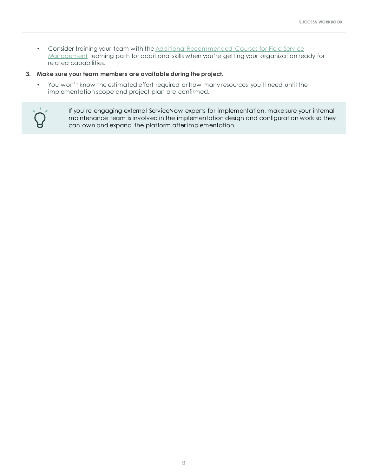- [Consider training your team with the Additional Recommended Courses for Field Service](https://nowlearning.service-now.com/lxp?id=overview&sys_id=e931e8d4db85a0107aa13df339961967&type=path)  Management learning path for additional skills when you're getting your organization ready for related capabilities.
- **3. Make sure your team members are available during the project.**
	- You won't know the estimated effort required or how many resources you'll need until the implementation scope and project plan are confirmed.



If you're engaging external ServiceNow experts for implementation, make sure your internal maintenance team is involved in the implementation design and configuration work so they can own and expand the platform after implementation.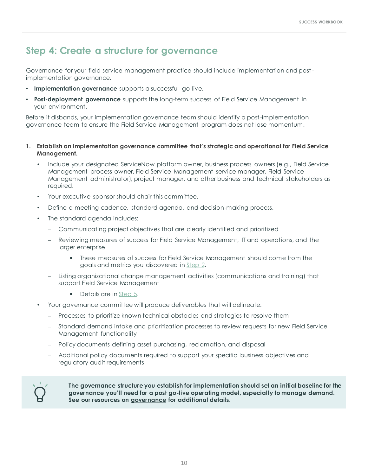# **Step 4: Create a structure for governance**

Governance for your field service management practice should include implementation and postimplementation governance.

- **Implementation governance** supports a successful go-live.
- **Post-deployment governance** supports the long-term success of Field Service Management in your environment.

Before it disbands, your implementation governance team should identify a post-implementation governance team to ensure the Field Service Management program does not lose momentum.

- **1. Establish an implementation governance committee that's strategic and operational for Field Service Management.**
	- Include your designated ServiceNow platform owner, business process owners (e.g., Field Service Management process owner, Field Service Management service manager, Field Service Management administrator), project manager, and other business and technical stakeholders as required.
	- Your executive sponsor should chair this committee.
	- Define a meeting cadence, standard agenda, and decision-making process.
	- The standard agenda includes:
		- ⎼ Communicating project objectives that are clearly identified and prioritized
		- Reviewing measures of success for Field Service Management, IT and operations, and the larger enterprise
			- **.** These measures of success for Field Service Management should come from the goals and metrics you discovered in [Step 2.](#page-6-0)
		- Listing organizational change management activities (communications and training) that support Field Service Management
			- Details are in [Step 5.](#page-10-0)
	- Your governance committee will produce deliverables that will delineate:
		- ⎼ Processes to prioritize known technical obstacles and strategies to resolve them
		- Standard demand intake and prioritization processes to review requests for new Field Service Management functionality
		- Policy documents defining asset purchasing, reclamation, and disposal
		- Additional policy documents required to support your specific business objectives and regulatory audit requirements

<span id="page-9-0"></span>

**The governance structure you establish for implementation should set an initial baseline for the governance you'll need for a post go-live operating model, especially to manage demand. See our resources on [governance](https://www.servicenow.com/success/playbook/governance-process-policies-team.html) for additional details.**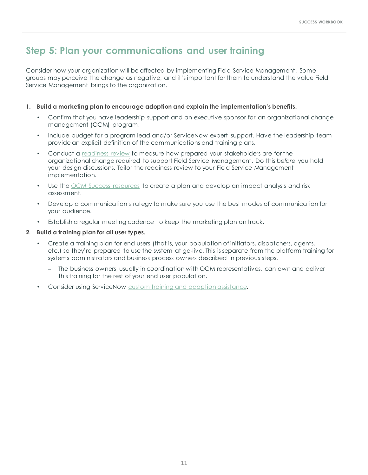# **Step 5: Plan your communications and user training**

Consider how your organization will be affected by implementing Field Service Management. Some groups may perceive the change as negative, and it's important for them to understand the value Field Service Management brings to the organization.

# **1. Build a marketing plan to encourage adoption and explain the implementation's benefits.**

- Confirm that you have leadership support and an executive sponsor for an organizational change management (OCM) program.
- Include budget for a program lead and/or ServiceNow expert support. Have the leadership team provide an explicit definition of the communications and training plans.
- Conduct a [readiness review](https://www.servicenow.com/content/dam/servicenow-assets/public/en-us/doc-type/success/quick-answer/organizational-readiness-assessment.pdf) to measure how prepared your stakeholders are for the organizational change required to support Field Service Management. Do this *before* you hold your design discussions. Tailor the readiness review to your Field Service Management implementation.
- Use the [OCM Success resources](https://www.servicenow.com/success/playbook/change-management-plan-guide.html) to create a plan and develop an impact analysis and risk assessment.
- Develop a communication strategy to make sure you use the best modes of communication for your audience.
- Establish a regular meeting cadence to keep the marketing plan on track.

# **2. Build a training plan for all user types.**

- Create a training plan for end users (that is, your population of initiators, dispatchers, agents, etc.) so they're prepared to use the system at go-live. This is separate from the platform training for systems administrators and business process owners described in previous steps.
	- $-$  The business owners, usually in coordination with OCM representatives, can own and deliver this training for the rest of your end user population.
- <span id="page-10-0"></span>Consider using ServiceNow [custom training and adoption assistance.](https://www.servicenow.com/content/dam/servicenow-assets/public/en-us/doc-type/other-document/servicenow-custom-training-and-adoption-datasheet.pdf)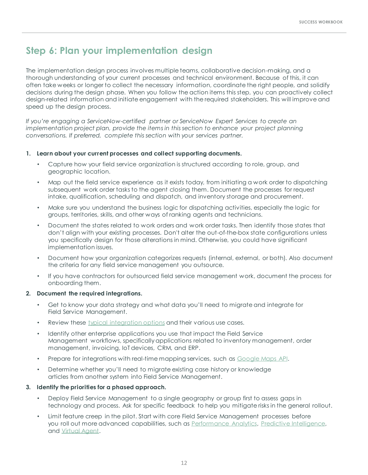# **Step 6: Plan your implementation design**

The implementation design process involves multiple teams, collaborative decision-making, and a thorough understanding of your current processes and technical environment. Because of this, it can often take weeks or longer to collect the necessary information, coordinate the right people, and solidify decisions during the design phase. When you follow the action items this step, you can proactively collect design-related information and initiate engagement with the required stakeholders. This will improve and speed up the design process.

*If you're engaging a ServiceNow-certified partner or ServiceNow Expert Services to create an implementation project plan, provide the items in this section to enhance your project planning conversations. If preferred, complete this section with your services partner.*

# **1. Learn about your current processes and collect supporting documents.**

- Capture how your field service organization is structured according to role, group, and geographic location.
- Map out the field service experience as it exists today, from initiating a work order to dispatching subsequent work order tasks to the agent closing them. Document the processes for request intake, qualification, scheduling and dispatch, and inventory storage and procurement.
- Make sure you understand the business logic for dispatching activities, especially the logic for groups, territories, skills, and other ways of ranking agents and technicians.
- Document the states related to work orders and work order tasks. Then identify those states that don't align with your existing processes. Don't alter the out-of-the-box state configurations unless you specifically design for those alterations in mind. Otherwise, you could have significant implementation issues.
- Document how your organization categorizes requests (internal, external, or both). Also document the criteria for any field service management you outsource.
- If you have contractors for outsourced field service management work, document the process for onboarding them.

### **2. Document the required integrations.**

- Get to know your data strategy and what data you'll need to migrate and integrate for Field Service Management.
- Review these [typical integration options](https://nowlearning.service-now.com/nowcreate?id=nc_asset&asset_id=0d30bfbddb72a09073f4bc04b996195a) and their various use cases.
- Identify other enterprise applications you use that impact the Field Service Management workflows, specifically applications related to inventory management, order management, invoicing, IoT devices, CRM, and ERP.
- Prepare for integrations with real-time mapping services, such as [Google Maps API.](https://nowlearning.service-now.com/nowcreate?id=nc_asset&asset_id=6c79ff75dbb2a09073f4bc04b9961946)
- Determine whether you'll need to migrate existing case history or knowledge articles from another system into Field Service Management.

# **3. Identify the priorities for a phased approach.**

- Deploy Field Service Management to a single geography or group first to assess gaps in technology and process. Ask for specific feedback to help you mitigate risks in the general rollout.
- <span id="page-11-0"></span>• Limit feature creep in the pilot. Start with core Field Service Management processes before you roll out more advanced capabilities, such as [Performance Analytics,](https://www.servicenow.com/products/performance-analytics.html) [Predictive Intelligence](https://www.servicenow.com/products/predictive-intelligence.html), and [Virtual Agent.](https://www.servicenow.com/products/virtual-agent.html)